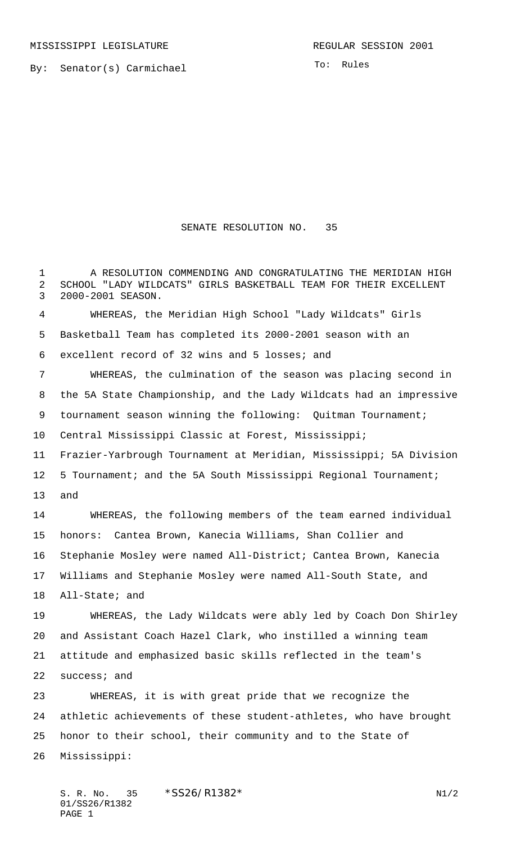MISSISSIPPI LEGISLATURE **REGULAR SESSION 2001** 

By: Senator(s) Carmichael

To: Rules

## SENATE RESOLUTION NO. 35

 A RESOLUTION COMMENDING AND CONGRATULATING THE MERIDIAN HIGH SCHOOL "LADY WILDCATS" GIRLS BASKETBALL TEAM FOR THEIR EXCELLENT 2000-2001 SEASON. WHEREAS, the Meridian High School "Lady Wildcats" Girls Basketball Team has completed its 2000-2001 season with an excellent record of 32 wins and 5 losses; and WHEREAS, the culmination of the season was placing second in the 5A State Championship, and the Lady Wildcats had an impressive 9 tournament season winning the following: Quitman Tournament; Central Mississippi Classic at Forest, Mississippi; Frazier-Yarbrough Tournament at Meridian, Mississippi; 5A Division 12 5 Tournament; and the 5A South Mississippi Regional Tournament; and WHEREAS, the following members of the team earned individual honors: Cantea Brown, Kanecia Williams, Shan Collier and Stephanie Mosley were named All-District; Cantea Brown, Kanecia Williams and Stephanie Mosley were named All-South State, and All-State; and WHEREAS, the Lady Wildcats were ably led by Coach Don Shirley and Assistant Coach Hazel Clark, who instilled a winning team attitude and emphasized basic skills reflected in the team's success; and WHEREAS, it is with great pride that we recognize the athletic achievements of these student-athletes, who have brought honor to their school, their community and to the State of Mississippi: